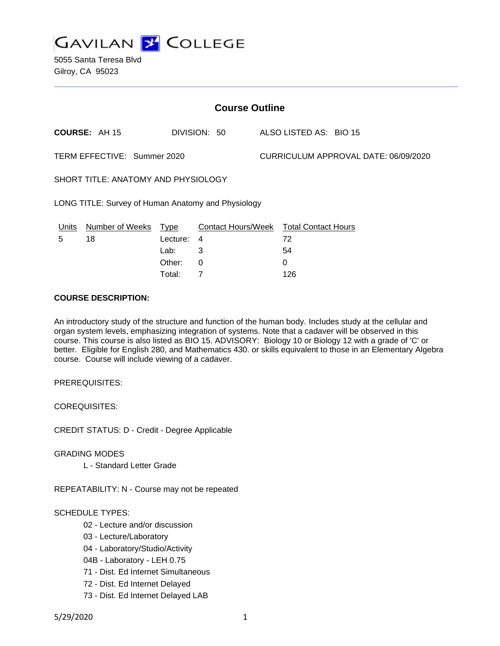

| <b>Course Outline</b>       |                                                    |          |                                        |  |                                      |  |  |
|-----------------------------|----------------------------------------------------|----------|----------------------------------------|--|--------------------------------------|--|--|
|                             | <b>COURSE: AH 15</b>                               |          | DIVISION: 50                           |  | ALSO LISTED AS: BIO 15               |  |  |
| TERM EFFECTIVE: Summer 2020 |                                                    |          |                                        |  | CURRICULUM APPROVAL DATE: 06/09/2020 |  |  |
|                             | SHORT TITLE: ANATOMY AND PHYSIOLOGY                |          |                                        |  |                                      |  |  |
|                             | LONG TITLE: Survey of Human Anatomy and Physiology |          |                                        |  |                                      |  |  |
| Units                       | Number of Weeks                                    | Type     | Contact Hours/Week Total Contact Hours |  |                                      |  |  |
| 5                           | 18                                                 | Lecture: | 4                                      |  | 72                                   |  |  |
|                             |                                                    | Lab:     | 3                                      |  | 54                                   |  |  |
|                             |                                                    | Other:   | $\Omega$                               |  | 0                                    |  |  |
|                             |                                                    | Total:   | 7                                      |  | 126                                  |  |  |

#### **COURSE DESCRIPTION:**

An introductory study of the structure and function of the human body. Includes study at the cellular and organ system levels, emphasizing integration of systems. Note that a cadaver will be observed in this course. This course is also listed as BIO 15. ADVISORY: Biology 10 or Biology 12 with a grade of 'C' or better. Eligible for English 280, and Mathematics 430. or skills equivalent to those in an Elementary Algebra course. Course will include viewing of a cadaver.

PREREQUISITES:

COREQUISITES:

CREDIT STATUS: D - Credit - Degree Applicable

GRADING MODES

L - Standard Letter Grade

REPEATABILITY: N - Course may not be repeated

### SCHEDULE TYPES:

- 02 Lecture and/or discussion
- 03 Lecture/Laboratory
- 04 Laboratory/Studio/Activity
- 04B Laboratory LEH 0.75
- 71 Dist. Ed Internet Simultaneous
- 72 Dist. Ed Internet Delayed
- 73 Dist. Ed Internet Delayed LAB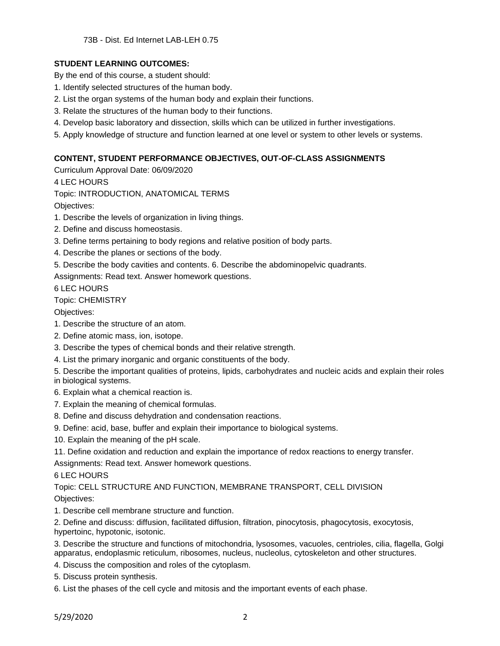### **STUDENT LEARNING OUTCOMES:**

By the end of this course, a student should:

- 1. Identify selected structures of the human body.
- 2. List the organ systems of the human body and explain their functions.
- 3. Relate the structures of the human body to their functions.
- 4. Develop basic laboratory and dissection, skills which can be utilized in further investigations.
- 5. Apply knowledge of structure and function learned at one level or system to other levels or systems.

### **CONTENT, STUDENT PERFORMANCE OBJECTIVES, OUT-OF-CLASS ASSIGNMENTS**

Curriculum Approval Date: 06/09/2020

4 LEC HOURS

Topic: INTRODUCTION, ANATOMICAL TERMS

Objectives:

1. Describe the levels of organization in living things.

- 2. Define and discuss homeostasis.
- 3. Define terms pertaining to body regions and relative position of body parts.
- 4. Describe the planes or sections of the body.
- 5. Describe the body cavities and contents. 6. Describe the abdominopelvic quadrants.

Assignments: Read text. Answer homework questions.

6 LEC HOURS

Topic: CHEMISTRY

Objectives:

- 1. Describe the structure of an atom.
- 2. Define atomic mass, ion, isotope.
- 3. Describe the types of chemical bonds and their relative strength.
- 4. List the primary inorganic and organic constituents of the body.
- 5. Describe the important qualities of proteins, lipids, carbohydrates and nucleic acids and explain their roles in biological systems.

6. Explain what a chemical reaction is.

- 7. Explain the meaning of chemical formulas.
- 8. Define and discuss dehydration and condensation reactions.
- 9. Define: acid, base, buffer and explain their importance to biological systems.
- 10. Explain the meaning of the pH scale.

11. Define oxidation and reduction and explain the importance of redox reactions to energy transfer.

Assignments: Read text. Answer homework questions.

### 6 LEC HOURS

Topic: CELL STRUCTURE AND FUNCTION, MEMBRANE TRANSPORT, CELL DIVISION Objectives:

1. Describe cell membrane structure and function.

2. Define and discuss: diffusion, facilitated diffusion, filtration, pinocytosis, phagocytosis, exocytosis, hypertoinc, hypotonic, isotonic.

3. Describe the structure and functions of mitochondria, lysosomes, vacuoles, centrioles, cilia, flagella, Golgi apparatus, endoplasmic reticulum, ribosomes, nucleus, nucleolus, cytoskeleton and other structures.

4. Discuss the composition and roles of the cytoplasm.

5. Discuss protein synthesis.

6. List the phases of the cell cycle and mitosis and the important events of each phase.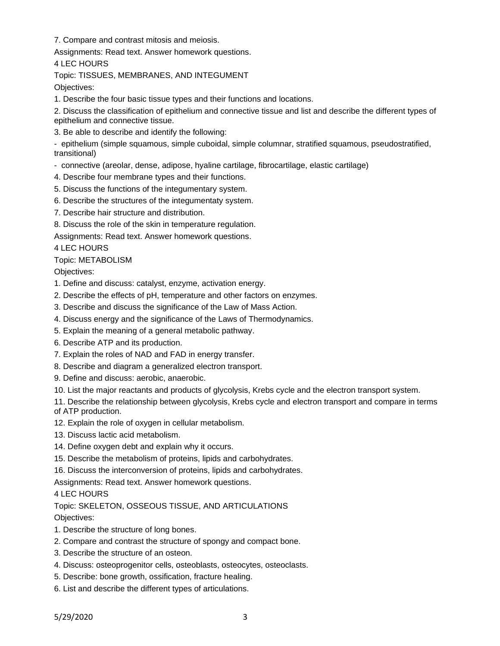7. Compare and contrast mitosis and meiosis.

Assignments: Read text. Answer homework questions.

4 LEC HOURS

Topic: TISSUES, MEMBRANES, AND INTEGUMENT

Objectives:

1. Describe the four basic tissue types and their functions and locations.

2. Discuss the classification of epithelium and connective tissue and list and describe the different types of epithelium and connective tissue.

3. Be able to describe and identify the following:

- epithelium (simple squamous, simple cuboidal, simple columnar, stratified squamous, pseudostratified, transitional)

- connective (areolar, dense, adipose, hyaline cartilage, fibrocartilage, elastic cartilage)
- 4. Describe four membrane types and their functions.
- 5. Discuss the functions of the integumentary system.
- 6. Describe the structures of the integumentaty system.
- 7. Describe hair structure and distribution.
- 8. Discuss the role of the skin in temperature regulation.

Assignments: Read text. Answer homework questions.

4 LEC HOURS

### Topic: METABOLISM

Objectives:

- 1. Define and discuss: catalyst, enzyme, activation energy.
- 2. Describe the effects of pH, temperature and other factors on enzymes.
- 3. Describe and discuss the significance of the Law of Mass Action.
- 4. Discuss energy and the significance of the Laws of Thermodynamics.
- 5. Explain the meaning of a general metabolic pathway.
- 6. Describe ATP and its production.
- 7. Explain the roles of NAD and FAD in energy transfer.
- 8. Describe and diagram a generalized electron transport.
- 9. Define and discuss: aerobic, anaerobic.
- 10. List the major reactants and products of glycolysis, Krebs cycle and the electron transport system.

11. Describe the relationship between glycolysis, Krebs cycle and electron transport and compare in terms of ATP production.

- 12. Explain the role of oxygen in cellular metabolism.
- 13. Discuss lactic acid metabolism.
- 14. Define oxygen debt and explain why it occurs.
- 15. Describe the metabolism of proteins, lipids and carbohydrates.

16. Discuss the interconversion of proteins, lipids and carbohydrates.

Assignments: Read text. Answer homework questions.

## 4 LEC HOURS

# Topic: SKELETON, OSSEOUS TISSUE, AND ARTICULATIONS

- 1. Describe the structure of long bones.
- 2. Compare and contrast the structure of spongy and compact bone.
- 3. Describe the structure of an osteon.
- 4. Discuss: osteoprogenitor cells, osteoblasts, osteocytes, osteoclasts.
- 5. Describe: bone growth, ossification, fracture healing.
- 6. List and describe the different types of articulations.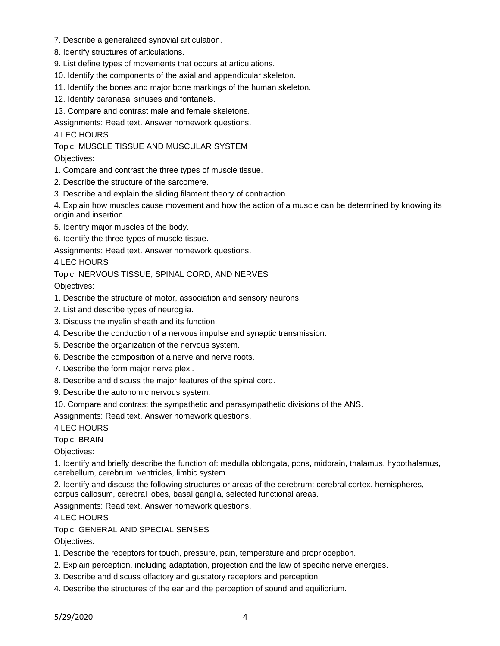- 7. Describe a generalized synovial articulation.
- 8. Identify structures of articulations.
- 9. List define types of movements that occurs at articulations.
- 10. Identify the components of the axial and appendicular skeleton.
- 11. Identify the bones and major bone markings of the human skeleton.
- 12. Identify paranasal sinuses and fontanels.
- 13. Compare and contrast male and female skeletons.

Assignments: Read text. Answer homework questions.

4 LEC HOURS

Topic: MUSCLE TISSUE AND MUSCULAR SYSTEM

Objectives:

- 1. Compare and contrast the three types of muscle tissue.
- 2. Describe the structure of the sarcomere.
- 3. Describe and explain the sliding filament theory of contraction.

4. Explain how muscles cause movement and how the action of a muscle can be determined by knowing its origin and insertion.

- 5. Identify major muscles of the body.
- 6. Identify the three types of muscle tissue.

Assignments: Read text. Answer homework questions.

4 LEC HOURS

### Topic: NERVOUS TISSUE, SPINAL CORD, AND NERVES

Objectives:

- 1. Describe the structure of motor, association and sensory neurons.
- 2. List and describe types of neuroglia.
- 3. Discuss the myelin sheath and its function.
- 4. Describe the conduction of a nervous impulse and synaptic transmission.
- 5. Describe the organization of the nervous system.
- 6. Describe the composition of a nerve and nerve roots.
- 7. Describe the form major nerve plexi.
- 8. Describe and discuss the major features of the spinal cord.
- 9. Describe the autonomic nervous system.
- 10. Compare and contrast the sympathetic and parasympathetic divisions of the ANS.

Assignments: Read text. Answer homework questions.

4 LEC HOURS

Topic: BRAIN

Objectives:

1. Identify and briefly describe the function of: medulla oblongata, pons, midbrain, thalamus, hypothalamus, cerebellum, cerebrum, ventricles, limbic system.

2. Identify and discuss the following structures or areas of the cerebrum: cerebral cortex, hemispheres, corpus callosum, cerebral lobes, basal ganglia, selected functional areas.

Assignments: Read text. Answer homework questions.

4 LEC HOURS

Topic: GENERAL AND SPECIAL SENSES

- 1. Describe the receptors for touch, pressure, pain, temperature and proprioception.
- 2. Explain perception, including adaptation, projection and the law of specific nerve energies.
- 3. Describe and discuss olfactory and gustatory receptors and perception.
- 4. Describe the structures of the ear and the perception of sound and equilibrium.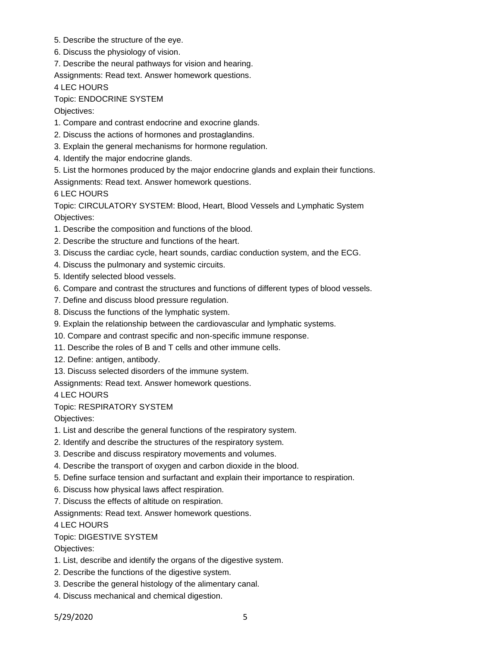- 5. Describe the structure of the eye.
- 6. Discuss the physiology of vision.
- 7. Describe the neural pathways for vision and hearing.
- Assignments: Read text. Answer homework questions.

4 LEC HOURS

Topic: ENDOCRINE SYSTEM

Objectives:

- 1. Compare and contrast endocrine and exocrine glands.
- 2. Discuss the actions of hormones and prostaglandins.
- 3. Explain the general mechanisms for hormone regulation.
- 4. Identify the major endocrine glands.
- 5. List the hormones produced by the major endocrine glands and explain their functions. Assignments: Read text. Answer homework questions.

6 LEC HOURS

Topic: CIRCULATORY SYSTEM: Blood, Heart, Blood Vessels and Lymphatic System Objectives:

- 1. Describe the composition and functions of the blood.
- 2. Describe the structure and functions of the heart.
- 3. Discuss the cardiac cycle, heart sounds, cardiac conduction system, and the ECG.
- 4. Discuss the pulmonary and systemic circuits.
- 5. Identify selected blood vessels.
- 6. Compare and contrast the structures and functions of different types of blood vessels.
- 7. Define and discuss blood pressure regulation.
- 8. Discuss the functions of the lymphatic system.
- 9. Explain the relationship between the cardiovascular and lymphatic systems.
- 10. Compare and contrast specific and non-specific immune response.
- 11. Describe the roles of B and T cells and other immune cells.
- 12. Define: antigen, antibody.
- 13. Discuss selected disorders of the immune system.

Assignments: Read text. Answer homework questions.

4 LEC HOURS

### Topic: RESPIRATORY SYSTEM

Objectives:

- 1. List and describe the general functions of the respiratory system.
- 2. Identify and describe the structures of the respiratory system.
- 3. Describe and discuss respiratory movements and volumes.
- 4. Describe the transport of oxygen and carbon dioxide in the blood.
- 5. Define surface tension and surfactant and explain their importance to respiration.
- 6. Discuss how physical laws affect respiration.
- 7. Discuss the effects of altitude on respiration.

Assignments: Read text. Answer homework questions.

4 LEC HOURS

Topic: DIGESTIVE SYSTEM

- 1. List, describe and identify the organs of the digestive system.
- 2. Describe the functions of the digestive system.
- 3. Describe the general histology of the alimentary canal.
- 4. Discuss mechanical and chemical digestion.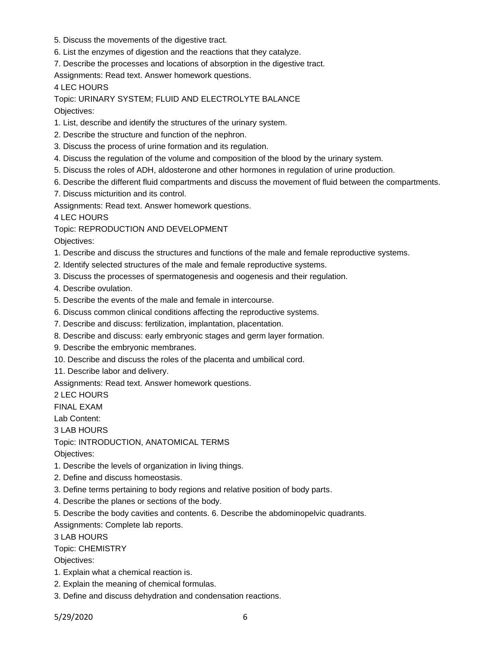- 5. Discuss the movements of the digestive tract.
- 6. List the enzymes of digestion and the reactions that they catalyze.
- 7. Describe the processes and locations of absorption in the digestive tract.

Assignments: Read text. Answer homework questions.

4 LEC HOURS

Topic: URINARY SYSTEM; FLUID AND ELECTROLYTE BALANCE Objectives:

- 1. List, describe and identify the structures of the urinary system.
- 2. Describe the structure and function of the nephron.
- 3. Discuss the process of urine formation and its regulation.
- 4. Discuss the regulation of the volume and composition of the blood by the urinary system.
- 5. Discuss the roles of ADH, aldosterone and other hormones in regulation of urine production.
- 6. Describe the different fluid compartments and discuss the movement of fluid between the compartments.
- 7. Discuss micturition and its control.

Assignments: Read text. Answer homework questions.

4 LEC HOURS

Topic: REPRODUCTION AND DEVELOPMENT

Objectives:

- 1. Describe and discuss the structures and functions of the male and female reproductive systems.
- 2. Identify selected structures of the male and female reproductive systems.
- 3. Discuss the processes of spermatogenesis and oogenesis and their regulation.

4. Describe ovulation.

- 5. Describe the events of the male and female in intercourse.
- 6. Discuss common clinical conditions affecting the reproductive systems.
- 7. Describe and discuss: fertilization, implantation, placentation.
- 8. Describe and discuss: early embryonic stages and germ layer formation.
- 9. Describe the embryonic membranes.
- 10. Describe and discuss the roles of the placenta and umbilical cord.
- 11. Describe labor and delivery.

Assignments: Read text. Answer homework questions.

2 LEC HOURS

FINAL EXAM

Lab Content:

3 LAB HOURS

Topic: INTRODUCTION, ANATOMICAL TERMS

Objectives:

- 1. Describe the levels of organization in living things.
- 2. Define and discuss homeostasis.
- 3. Define terms pertaining to body regions and relative position of body parts.
- 4. Describe the planes or sections of the body.
- 5. Describe the body cavities and contents. 6. Describe the abdominopelvic quadrants.

Assignments: Complete lab reports.

3 LAB HOURS

Topic: CHEMISTRY

- 1. Explain what a chemical reaction is.
- 2. Explain the meaning of chemical formulas.
- 3. Define and discuss dehydration and condensation reactions.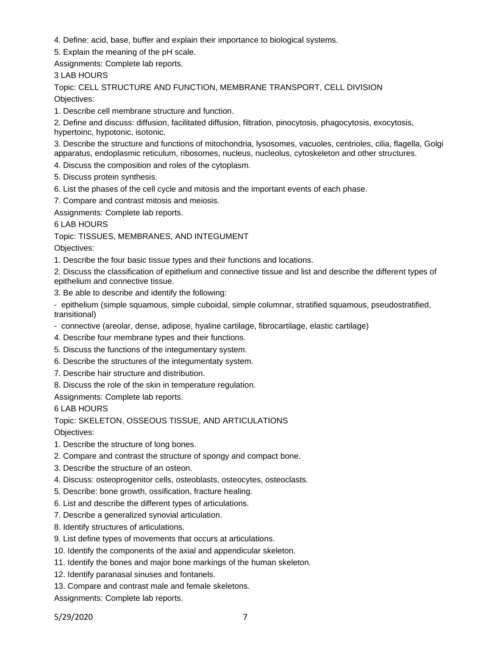- 4. Define: acid, base, buffer and explain their importance to biological systems.
- 5. Explain the meaning of the pH scale.

Assignments: Complete lab reports.

# 3 LAB HOURS

Topic: CELL STRUCTURE AND FUNCTION, MEMBRANE TRANSPORT, CELL DIVISION

Objectives:

1. Describe cell membrane structure and function.

2. Define and discuss: diffusion, facilitated diffusion, filtration, pinocytosis, phagocytosis, exocytosis, hypertoinc, hypotonic, isotonic.

3. Describe the structure and functions of mitochondria, lysosomes, vacuoles, centrioles, cilia, flagella, Golgi apparatus, endoplasmic reticulum, ribosomes, nucleus, nucleolus, cytoskeleton and other structures.

4. Discuss the composition and roles of the cytoplasm.

- 5. Discuss protein synthesis.
- 6. List the phases of the cell cycle and mitosis and the important events of each phase.

7. Compare and contrast mitosis and meiosis.

Assignments: Complete lab reports.

6 LAB HOURS

Topic: TISSUES, MEMBRANES, AND INTEGUMENT

Objectives:

1. Describe the four basic tissue types and their functions and locations.

2. Discuss the classification of epithelium and connective tissue and list and describe the different types of epithelium and connective tissue.

3. Be able to describe and identify the following:

- epithelium (simple squamous, simple cuboidal, simple columnar, stratified squamous, pseudostratified, transitional)

- connective (areolar, dense, adipose, hyaline cartilage, fibrocartilage, elastic cartilage)
- 4. Describe four membrane types and their functions.
- 5. Discuss the functions of the integumentary system.
- 6. Describe the structures of the integumentaty system.
- 7. Describe hair structure and distribution.
- 8. Discuss the role of the skin in temperature regulation.

Assignments: Complete lab reports.

6 LAB HOURS

Topic: SKELETON, OSSEOUS TISSUE, AND ARTICULATIONS

Objectives:

- 1. Describe the structure of long bones.
- 2. Compare and contrast the structure of spongy and compact bone.
- 3. Describe the structure of an osteon.
- 4. Discuss: osteoprogenitor cells, osteoblasts, osteocytes, osteoclasts.
- 5. Describe: bone growth, ossification, fracture healing.
- 6. List and describe the different types of articulations.
- 7. Describe a generalized synovial articulation.
- 8. Identify structures of articulations.
- 9. List define types of movements that occurs at articulations.
- 10. Identify the components of the axial and appendicular skeleton.
- 11. Identify the bones and major bone markings of the human skeleton.
- 12. Identify paranasal sinuses and fontanels.
- 13. Compare and contrast male and female skeletons.

Assignments: Complete lab reports.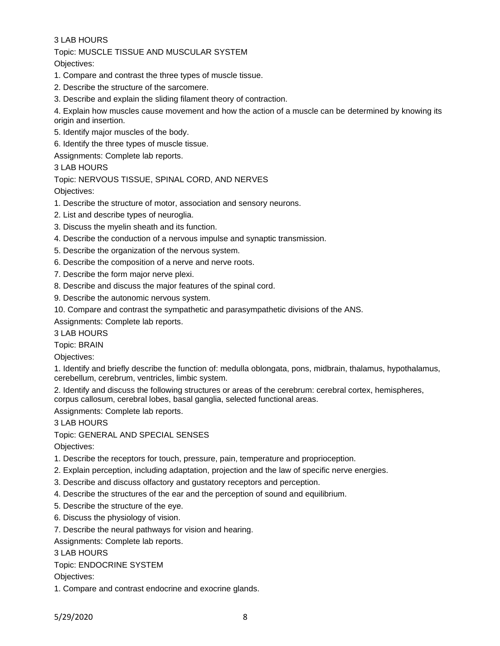### 3 LAB HOURS

Topic: MUSCLE TISSUE AND MUSCULAR SYSTEM

Objectives:

- 1. Compare and contrast the three types of muscle tissue.
- 2. Describe the structure of the sarcomere.
- 3. Describe and explain the sliding filament theory of contraction.

4. Explain how muscles cause movement and how the action of a muscle can be determined by knowing its origin and insertion.

- 5. Identify major muscles of the body.
- 6. Identify the three types of muscle tissue.

Assignments: Complete lab reports.

#### 3 LAB HOURS

#### Topic: NERVOUS TISSUE, SPINAL CORD, AND NERVES

Objectives:

- 1. Describe the structure of motor, association and sensory neurons.
- 2. List and describe types of neuroglia.
- 3. Discuss the myelin sheath and its function.
- 4. Describe the conduction of a nervous impulse and synaptic transmission.
- 5. Describe the organization of the nervous system.
- 6. Describe the composition of a nerve and nerve roots.
- 7. Describe the form major nerve plexi.
- 8. Describe and discuss the major features of the spinal cord.
- 9. Describe the autonomic nervous system.

10. Compare and contrast the sympathetic and parasympathetic divisions of the ANS.

Assignments: Complete lab reports.

3 LAB HOURS

Topic: BRAIN

Objectives:

1. Identify and briefly describe the function of: medulla oblongata, pons, midbrain, thalamus, hypothalamus, cerebellum, cerebrum, ventricles, limbic system.

2. Identify and discuss the following structures or areas of the cerebrum: cerebral cortex, hemispheres, corpus callosum, cerebral lobes, basal ganglia, selected functional areas.

Assignments: Complete lab reports.

3 LAB HOURS

Topic: GENERAL AND SPECIAL SENSES

Objectives:

- 1. Describe the receptors for touch, pressure, pain, temperature and proprioception.
- 2. Explain perception, including adaptation, projection and the law of specific nerve energies.
- 3. Describe and discuss olfactory and gustatory receptors and perception.
- 4. Describe the structures of the ear and the perception of sound and equilibrium.
- 5. Describe the structure of the eye.
- 6. Discuss the physiology of vision.
- 7. Describe the neural pathways for vision and hearing.

Assignments: Complete lab reports.

3 LAB HOURS

Topic: ENDOCRINE SYSTEM

Objectives:

1. Compare and contrast endocrine and exocrine glands.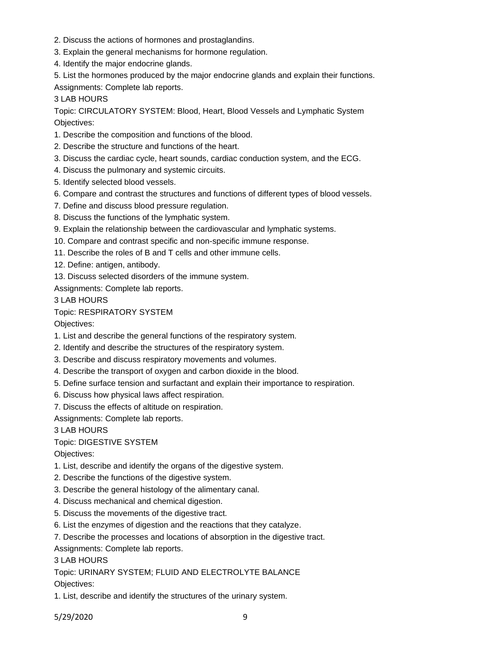- 2. Discuss the actions of hormones and prostaglandins.
- 3. Explain the general mechanisms for hormone regulation.
- 4. Identify the major endocrine glands.
- 5. List the hormones produced by the major endocrine glands and explain their functions. Assignments: Complete lab reports.

3 LAB HOURS

Topic: CIRCULATORY SYSTEM: Blood, Heart, Blood Vessels and Lymphatic System Objectives:

- 1. Describe the composition and functions of the blood.
- 2. Describe the structure and functions of the heart.
- 3. Discuss the cardiac cycle, heart sounds, cardiac conduction system, and the ECG.
- 4. Discuss the pulmonary and systemic circuits.
- 5. Identify selected blood vessels.
- 6. Compare and contrast the structures and functions of different types of blood vessels.
- 7. Define and discuss blood pressure regulation.
- 8. Discuss the functions of the lymphatic system.
- 9. Explain the relationship between the cardiovascular and lymphatic systems.
- 10. Compare and contrast specific and non-specific immune response.
- 11. Describe the roles of B and T cells and other immune cells.
- 12. Define: antigen, antibody.
- 13. Discuss selected disorders of the immune system.

Assignments: Complete lab reports.

3 LAB HOURS

### Topic: RESPIRATORY SYSTEM

Objectives:

- 1. List and describe the general functions of the respiratory system.
- 2. Identify and describe the structures of the respiratory system.
- 3. Describe and discuss respiratory movements and volumes.
- 4. Describe the transport of oxygen and carbon dioxide in the blood.
- 5. Define surface tension and surfactant and explain their importance to respiration.
- 6. Discuss how physical laws affect respiration.
- 7. Discuss the effects of altitude on respiration.

Assignments: Complete lab reports.

3 LAB HOURS

## Topic: DIGESTIVE SYSTEM

Objectives:

- 1. List, describe and identify the organs of the digestive system.
- 2. Describe the functions of the digestive system.
- 3. Describe the general histology of the alimentary canal.
- 4. Discuss mechanical and chemical digestion.
- 5. Discuss the movements of the digestive tract.
- 6. List the enzymes of digestion and the reactions that they catalyze.
- 7. Describe the processes and locations of absorption in the digestive tract.

Assignments: Complete lab reports.

## 3 LAB HOURS

Topic: URINARY SYSTEM; FLUID AND ELECTROLYTE BALANCE

Objectives:

1. List, describe and identify the structures of the urinary system.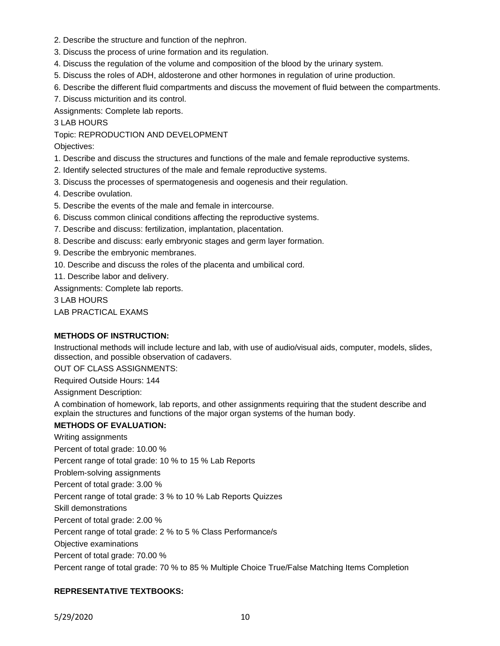- 2. Describe the structure and function of the nephron.
- 3. Discuss the process of urine formation and its regulation.
- 4. Discuss the regulation of the volume and composition of the blood by the urinary system.
- 5. Discuss the roles of ADH, aldosterone and other hormones in regulation of urine production.
- 6. Describe the different fluid compartments and discuss the movement of fluid between the compartments.
- 7. Discuss micturition and its control.

Assignments: Complete lab reports.

3 LAB HOURS

Topic: REPRODUCTION AND DEVELOPMENT

Objectives:

- 1. Describe and discuss the structures and functions of the male and female reproductive systems.
- 2. Identify selected structures of the male and female reproductive systems.
- 3. Discuss the processes of spermatogenesis and oogenesis and their regulation.
- 4. Describe ovulation.
- 5. Describe the events of the male and female in intercourse.
- 6. Discuss common clinical conditions affecting the reproductive systems.
- 7. Describe and discuss: fertilization, implantation, placentation.
- 8. Describe and discuss: early embryonic stages and germ layer formation.
- 9. Describe the embryonic membranes.
- 10. Describe and discuss the roles of the placenta and umbilical cord.
- 11. Describe labor and delivery.

Assignments: Complete lab reports.

3 LAB HOURS

LAB PRACTICAL EXAMS

### **METHODS OF INSTRUCTION:**

Instructional methods will include lecture and lab, with use of audio/visual aids, computer, models, slides, dissection, and possible observation of cadavers.

OUT OF CLASS ASSIGNMENTS:

Required Outside Hours: 144

Assignment Description:

A combination of homework, lab reports, and other assignments requiring that the student describe and explain the structures and functions of the major organ systems of the human body.

#### **METHODS OF EVALUATION:**

Writing assignments

Percent of total grade: 10.00 %

Percent range of total grade: 10 % to 15 % Lab Reports

Problem-solving assignments

Percent of total grade: 3.00 %

Percent range of total grade: 3 % to 10 % Lab Reports Quizzes

Skill demonstrations

Percent of total grade: 2.00 %

Percent range of total grade: 2 % to 5 % Class Performance/s

Objective examinations

Percent of total grade: 70.00 %

Percent range of total grade: 70 % to 85 % Multiple Choice True/False Matching Items Completion

### **REPRESENTATIVE TEXTBOOKS:**